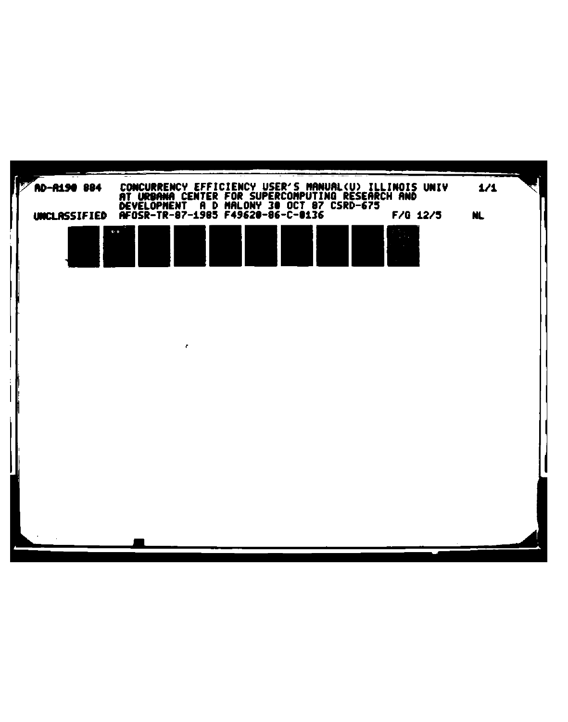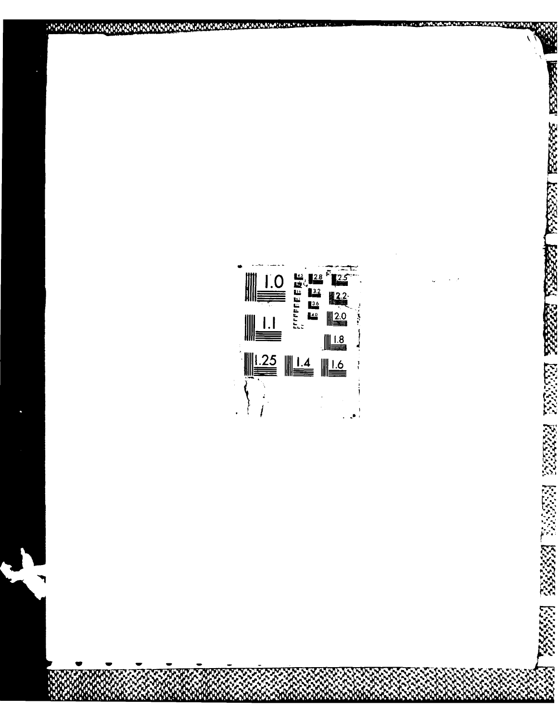

made when the board control

KAN TAKAN TARAN TATAN TATAN TARTA TERBERA TATAN BEERE BEBBERA TARAN

**Information of the control of the control of the control of the control of the control of the control of the c**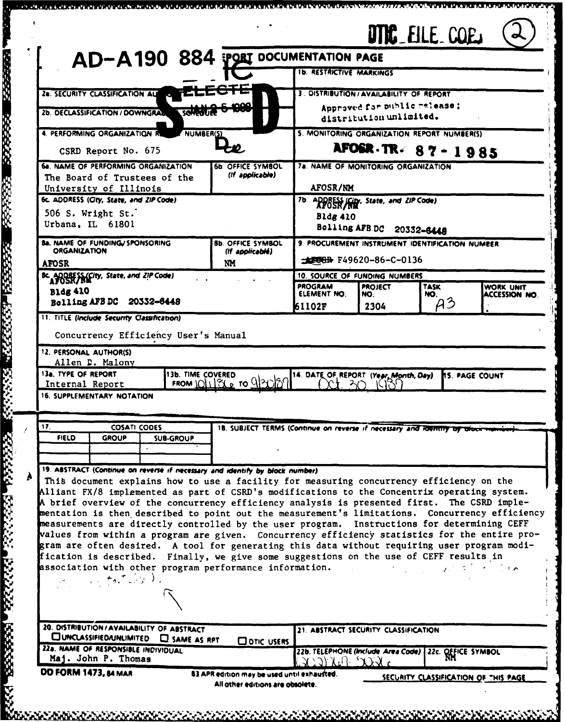|                                                                  |                                                                                                                                                                                                                                                                                                                                                                                                                                              |                                                                     | AD-A190 884 PORT DOCUMENTATION PAGE                                                                                                                                                                                                                                                                                                                                                                                                                                                                                                                                                                                                                                                                                                                                                                                                            |                                                                         |                                                         |                                                       |                                   |
|------------------------------------------------------------------|----------------------------------------------------------------------------------------------------------------------------------------------------------------------------------------------------------------------------------------------------------------------------------------------------------------------------------------------------------------------------------------------------------------------------------------------|---------------------------------------------------------------------|------------------------------------------------------------------------------------------------------------------------------------------------------------------------------------------------------------------------------------------------------------------------------------------------------------------------------------------------------------------------------------------------------------------------------------------------------------------------------------------------------------------------------------------------------------------------------------------------------------------------------------------------------------------------------------------------------------------------------------------------------------------------------------------------------------------------------------------------|-------------------------------------------------------------------------|---------------------------------------------------------|-------------------------------------------------------|-----------------------------------|
|                                                                  |                                                                                                                                                                                                                                                                                                                                                                                                                                              |                                                                     |                                                                                                                                                                                                                                                                                                                                                                                                                                                                                                                                                                                                                                                                                                                                                                                                                                                | <b>1b. RESTRICTIVE MARKINGS</b>                                         |                                                         |                                                       |                                   |
| 2a. SECURITY CLASSIFICATION AU                                   |                                                                                                                                                                                                                                                                                                                                                                                                                                              |                                                                     |                                                                                                                                                                                                                                                                                                                                                                                                                                                                                                                                                                                                                                                                                                                                                                                                                                                | 3. DISTRIBUTION/AVAILABILITY OF REPORT                                  |                                                         |                                                       |                                   |
| 2b. DECLASSIFICATION / DOWNGRAL                                  |                                                                                                                                                                                                                                                                                                                                                                                                                                              | <b>SCHEDUL</b>                                                      |                                                                                                                                                                                                                                                                                                                                                                                                                                                                                                                                                                                                                                                                                                                                                                                                                                                |                                                                         | Approved for public release;<br>distribution unlimited. |                                                       |                                   |
|                                                                  |                                                                                                                                                                                                                                                                                                                                                                                                                                              |                                                                     |                                                                                                                                                                                                                                                                                                                                                                                                                                                                                                                                                                                                                                                                                                                                                                                                                                                |                                                                         |                                                         |                                                       |                                   |
| 4. PERFORMING ORGANIZATION F<br>NUMBER(S)<br>CSRD Report No. 675 |                                                                                                                                                                                                                                                                                                                                                                                                                                              |                                                                     |                                                                                                                                                                                                                                                                                                                                                                                                                                                                                                                                                                                                                                                                                                                                                                                                                                                | 5. MONITORING ORGANIZATION REPORT NUMBER(S)<br><b>AFOSR.TR. 87-1985</b> |                                                         |                                                       |                                   |
|                                                                  |                                                                                                                                                                                                                                                                                                                                                                                                                                              | 6a. NAME OF PERFORMING ORGANIZATION<br>The Board of Trustees of the | <b>6b OFFICE SYMBOL</b><br>(If applicable)                                                                                                                                                                                                                                                                                                                                                                                                                                                                                                                                                                                                                                                                                                                                                                                                     | 78. NAME OF MONITORING ORGANIZATION                                     |                                                         |                                                       |                                   |
| University of Illinois                                           |                                                                                                                                                                                                                                                                                                                                                                                                                                              |                                                                     |                                                                                                                                                                                                                                                                                                                                                                                                                                                                                                                                                                                                                                                                                                                                                                                                                                                |                                                                         | <b>AFOSR/NM</b>                                         |                                                       |                                   |
| 6c. ADDRESS (City, State, and ZIP Code)                          |                                                                                                                                                                                                                                                                                                                                                                                                                                              |                                                                     |                                                                                                                                                                                                                                                                                                                                                                                                                                                                                                                                                                                                                                                                                                                                                                                                                                                | 7b. ADDRESs (City, State, and ZIP Code)                                 |                                                         |                                                       |                                   |
|                                                                  | 506 S. Wright St.<br>Urbana, IL 61801                                                                                                                                                                                                                                                                                                                                                                                                        |                                                                     |                                                                                                                                                                                                                                                                                                                                                                                                                                                                                                                                                                                                                                                                                                                                                                                                                                                |                                                                         | <b>Bldg 410</b>                                         |                                                       |                                   |
|                                                                  |                                                                                                                                                                                                                                                                                                                                                                                                                                              |                                                                     |                                                                                                                                                                                                                                                                                                                                                                                                                                                                                                                                                                                                                                                                                                                                                                                                                                                | Bolling AFB DC                                                          |                                                         | 20332-6448                                            |                                   |
|                                                                  | <b>8a. NAME OF FUNDING/SPONSORING</b><br><b>8b. OFFICE SYMBOL</b><br><b>ORGANIZATION</b><br>(If applicablé)                                                                                                                                                                                                                                                                                                                                  |                                                                     |                                                                                                                                                                                                                                                                                                                                                                                                                                                                                                                                                                                                                                                                                                                                                                                                                                                |                                                                         | 9. PROCUREMENT INSTRUMENT IDENTIFICATION NUMBER         |                                                       |                                   |
| <b>AFOSR</b>                                                     | NM.                                                                                                                                                                                                                                                                                                                                                                                                                                          |                                                                     |                                                                                                                                                                                                                                                                                                                                                                                                                                                                                                                                                                                                                                                                                                                                                                                                                                                |                                                                         | $\pm$ 2008 F49620-86-C-0136                             |                                                       |                                   |
| 8c. ADOBESS (City, State, and Zip Code)                          |                                                                                                                                                                                                                                                                                                                                                                                                                                              |                                                                     |                                                                                                                                                                                                                                                                                                                                                                                                                                                                                                                                                                                                                                                                                                                                                                                                                                                | 10. SOURCE OF FUNDING NUMBERS<br><b>PROGRAM</b>                         | <b>PROJECT</b>                                          | <b>TASK</b>                                           |                                   |
| <b>Bldg 410</b>                                                  |                                                                                                                                                                                                                                                                                                                                                                                                                                              | 20332-6448                                                          |                                                                                                                                                                                                                                                                                                                                                                                                                                                                                                                                                                                                                                                                                                                                                                                                                                                | ELEMENT NO.                                                             | NO.                                                     | NO.                                                   | <b>WORK UNIT</b><br>ACCESSION NO. |
| <b>Bolling AFB DC</b>                                            |                                                                                                                                                                                                                                                                                                                                                                                                                                              |                                                                     |                                                                                                                                                                                                                                                                                                                                                                                                                                                                                                                                                                                                                                                                                                                                                                                                                                                | 61102F                                                                  | 2304                                                    | A3                                                    |                                   |
| Internal Report                                                  |                                                                                                                                                                                                                                                                                                                                                                                                                                              |                                                                     |                                                                                                                                                                                                                                                                                                                                                                                                                                                                                                                                                                                                                                                                                                                                                                                                                                                |                                                                         |                                                         |                                                       |                                   |
| 16. SUPPLEMENTARY NOTATION                                       |                                                                                                                                                                                                                                                                                                                                                                                                                                              |                                                                     |                                                                                                                                                                                                                                                                                                                                                                                                                                                                                                                                                                                                                                                                                                                                                                                                                                                |                                                                         |                                                         |                                                       |                                   |
| 17 <sub>1</sub>                                                  | <b>COSATI CODES</b>                                                                                                                                                                                                                                                                                                                                                                                                                          |                                                                     | 18. SUBJECT TERMS (Continue on reverse if necessary and loeming by block                                                                                                                                                                                                                                                                                                                                                                                                                                                                                                                                                                                                                                                                                                                                                                       |                                                                         |                                                         |                                                       |                                   |
| <b>FIELD</b>                                                     | <b>GROUP</b>                                                                                                                                                                                                                                                                                                                                                                                                                                 | <b>SUB-GROUP</b>                                                    |                                                                                                                                                                                                                                                                                                                                                                                                                                                                                                                                                                                                                                                                                                                                                                                                                                                |                                                                         |                                                         |                                                       |                                   |
|                                                                  |                                                                                                                                                                                                                                                                                                                                                                                                                                              |                                                                     | 19. ABSTRACT (Continue on reverse if necessary and identify by block number)                                                                                                                                                                                                                                                                                                                                                                                                                                                                                                                                                                                                                                                                                                                                                                   |                                                                         |                                                         |                                                       |                                   |
|                                                                  | $\mathcal{F}_{\mathcal{A}} = \exp\left( \mathbf{r} \mathbf{a}, \mathbf{r} \right) \mathbf{a} \mathbf{a}^{\dagger} \mathbf{b}^{\dagger} \mathbf{b}^{\dagger} \mathbf{b}^{\dagger} \mathbf{b}^{\dagger} \mathbf{b}^{\dagger} \mathbf{b}^{\dagger} \mathbf{b}^{\dagger} \mathbf{b}^{\dagger} \mathbf{b}^{\dagger} \mathbf{b}^{\dagger} \mathbf{b}^{\dagger} \mathbf{b}^{\dagger} \mathbf{b}^{\dagger} \mathbf{b}^{\dagger} \mathbf{b}^{\dagger$ |                                                                     | This document explains how to use a facility for measuring concurrency efficiency on the<br>Alliant FX/8 implemented as part of CSRD's modifications to the Concentrix operating system.<br>A brief overview of the concurrency efficiency analysis is presented first. The CSRD imple-<br>mentation is then described to point out the measurement's limitations. Concurrency efficiency<br>measurements are directly controlled by the user program. Instructions for determining CEFF<br>walues from within a program are given. Concurrency efficiency statistics for the entire pro-<br>gram are often desired. A tool for generating this data without requiring user program modi-<br>fication is described. Finally, we give some suggestions on the use of CEFF results in<br>association with other program performance information. |                                                                         |                                                         |                                                       | リスコード・コラム                         |
|                                                                  |                                                                                                                                                                                                                                                                                                                                                                                                                                              | 20. DISTRIBUTION / AVAILABILITY OF ABSTRACT                         |                                                                                                                                                                                                                                                                                                                                                                                                                                                                                                                                                                                                                                                                                                                                                                                                                                                | 21. ABSTRACT SECURITY CLASSIFICATION                                    |                                                         |                                                       |                                   |
| 22a. NAME OF RESPONSIBLE INDIVIDUAL                              |                                                                                                                                                                                                                                                                                                                                                                                                                                              | CUNCLASSIFIED/UNLIMITED C SAME AS RPT                               | <b>ODTIC USERS</b>                                                                                                                                                                                                                                                                                                                                                                                                                                                                                                                                                                                                                                                                                                                                                                                                                             |                                                                         |                                                         | 226. TELEPHONE (Include Area Code) 22c. CEFICE SYMBOL |                                   |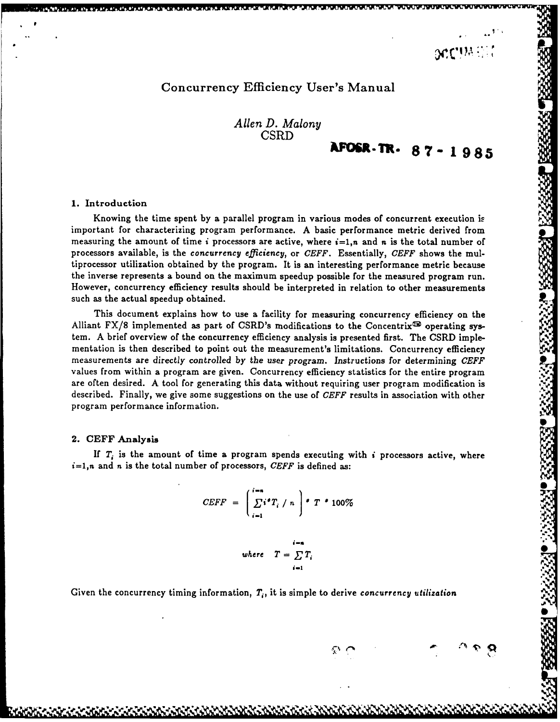A

# Concurrency Efficiency User's Manual

*Allen D. Malony*

# AFOSR-TR-87-1985

#### **1.** Introduction

Knowing the time spent **by** a parallel program in various modes of concurrent execution is important for characterizing program performance. **A** basic performance metric derived from measuring the amount of time i processors are active, where  $i=1, n$  and n is the total number of processors available, is the *concurrency eficiency,* or *CEFF.* Essentially, *CEFF* shows the multiprocessor utilization obtained **by** the program. It is an interesting performance metric because the inverse represents a bound on the maximum speedup possible for the measured program run. However, concurrency efficiency results should be interpreted in relation to other measurements such as the actual speedup obtained.

This document explains how to use a facility for measuring concurrency efficiency on the Alliant  $FX/8$  implemented as part of CSRD's modifications to the Concentrix<sup>ID</sup> operating system. **A** brief overview of the concurrency efficiency analysis is presented first. The CSRD implementation is then described to point out the measurement's limitations. Concurrency efficiency measurements are directly controlled by the *user program.* Instructions for determining *CEFF* values from within a program are given. Concurrency efficiency statistics for the entire program are often desired. **A** tool for generating this data without requiring user program modification is described. Finally, we give some suggestions on the use of *CEFF* results in association with other program performance information.

#### 2. **CEFF** Analysis

If  $T_i$  is the amount of time a program spends executing with *i* processors active, where  $i=1,n$  and *n* is the total number of processors, *CEFF* is defined as:

$$
CEFF = \left(\sum_{i=1}^{i=n} i^*T_i / n\right) \cdot T \cdot 100\%
$$
  
where  $T = \sum_{i=1}^{i=n} T_i$ 

• • **"" w "l w**m m • I w m **• I** ,. . m " "-' " m' % % m% ' ''% "0

Given the concurrency timing information, *Tj,* it is simple to derive *concurrency utilization*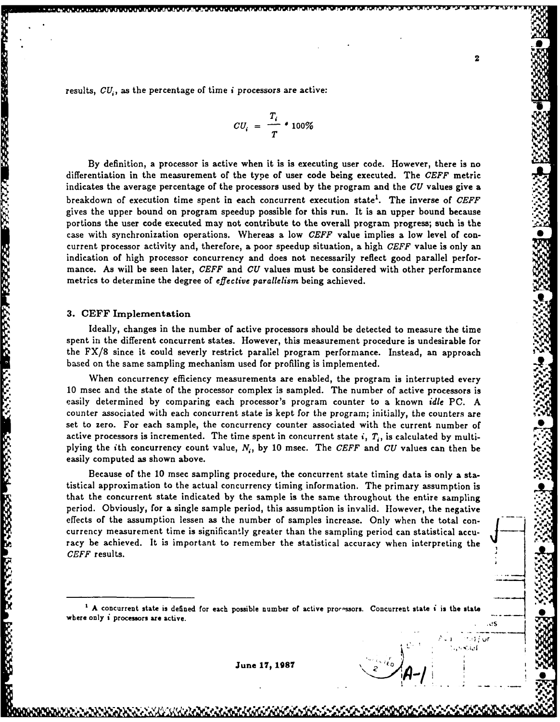results, *CU,,* as the percentage of time *i* processors are active:

$$
CU_i = \frac{T_i}{T} * 100\%
$$

**By** definition, a processor is active when it is is executing user code. However, there is no differentiation in the measurement of the type of user code being executed. The *CEFF* metric indicates the average percentage of the processors used by the program and the *CU* values give a breakdown of execution time spent in each concurrent execution state<sup>1</sup>. The inverse of *CEFF* gives the upper bound on program speedup possible for this run. It is an upper bound because portions the user code executed may not contribute to the overall program progress; such is the case with synchronization operations. Whereas a low *CEFF* value implies a low level of concurrent processor activity and, therefore, a poor speedup situation, a high *CEFF* value is only an indication of high processor concurrency and does not necessarily reflect good parallel performance. As will be seen later, *CEFF* and *CU* values must be considered with other performance<br>metrics to determine the degree of *effective parallelism* being achieved.<br>The section of the seen in the degree of *effective* 

#### **3. CEFF** Implementation

A TANGGRAFI A KASA A KASA SA KASA A KASA MATA TA KASA NG KASA SA KASA TA KASA NG KASA TA NG KASA TA NG KASA NG

Ideally, changes in the number of active processors should be detected to measure the time spent in the different concurrent states. However, this measurement procedure is undesirable for the FX/8 since it could severly restrict parallel program performance. Instead, an approach **N** based on the same sampling mechanism used for profiling is implemented. **4**

When concurrency efficiency measurements are enabled, the program is interrupted every **10** msec and the state of the processor complex is sampled. The number of active processors is easily determined **by** comparing each processor's program counter to a known *idle* **PC.** A counter associated with each concurrent state is kept for the program; initially, the counters are set to zero. For each sample, the concurrency counter associated with the current number of active processors is incremented. The time spent in concurrent state *i*,  $T_i$ , is calculated by multiplying the ith concurrency count value, *N,* **by 10** msec. The *CEFF* and *CU* values can then be easily computed as shown above. **P**

Because of the 10 msec sampling procedure, the concurrent state timing data is only a statistical approximation to the actual concurrency timing information. The primary assumption is that the concurrent state indicated **by** the sample is the same throughout the entire sampling period. Obviously, for a single sample period, this assumption is invalid. However, the negative **%** : effects of the assumption lessen as the number of samples increase. Only when the total concurrency measurement time is significantly greater than the sampling period can statistical accuracy be achieved. It is important to remember the statistical accuracy when interpreting the *CEFF* results.

**A** concurrent state is defined for each possible number of active pror-ssors. Concurrent state i is the **state** where only i processors are active.

 $\frac{1}{2}$ , 1987 is the 17, 1987 is the 17, 1987 is the 17 is the 17 is the 17 is the 17 is the 17 is the 17 is the 17 is the 17 is the 17 is the 17 is the 17 is the 17 is the 17 is the 17 is the 17 is the 17 is the 17 is

**-5**

**%**

**A,' --** 

d:S

ा ! ज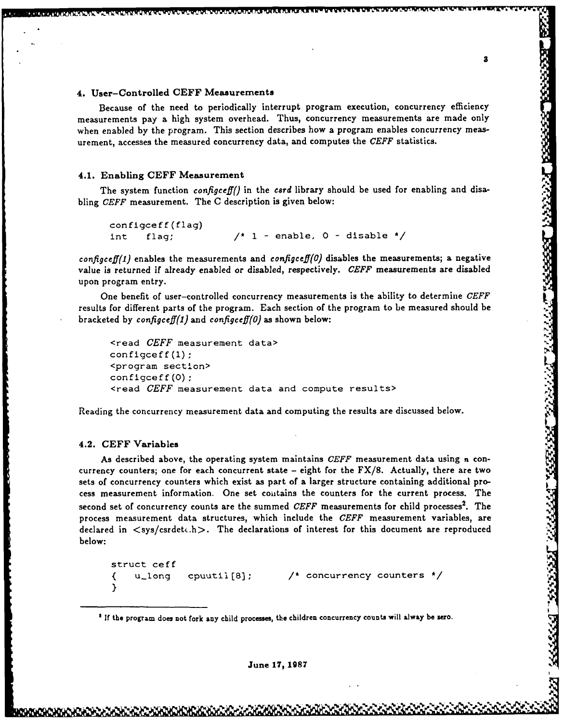### 4. User-Controlled **CEFF** Measurements

Because of the need to periodically interrupt program execution, concurrency efficiency measurements pay a high system overhead. Thus, concurrency measurements are made only when enabled **by** the program. This section describes how a program enables concurrency measurement, accesses the measured concurrency data, and computes the *CEFF* statistics. 1. User-Controlled CEFF Measurements<br>
Because of the need to periodically interrupt program execution, concurrency efficiency<br>
measurements pay a high system overhead. Thus, concurrency measurements are made only<br>
when ena

#### 4.1. Enabling **CEFF** Measurement

The system function *configceff()* in the csrd library should be used for enabling and disa-

```
configceff (flag)
int flag; /* 1 - enable, 0 - disable */
```
*configceff(1)* enables the measurements and *configceff(O)* disables the measurements; a negative value is returned if already enabled or disabled, respectively. *CEFF* measurements are disabled upon program entry.

One benefit of user-controlled concurrency measurements is the ability to determine *CEFF* results for different parts of the program. Each section of the program to be measured should be bracketed **by** *configceff(1)* and *configceff(O)* as shown below:

```
<read CEFF measurement data>
configceff(l);
<program section>
configceff (0);
<read CEFF measurement data and compute results>
```
Reading the concurrency measurement data and computing the results are discussed below.

### 4.2. **CEFF** Variables

*L O W* . **IV** %.w \* w %

As described above, the operating system maintains *CEFF* measurement data using n concurrency counters; one for each concurrent state **-** eight for the FX/8. Actually, there are two sets of concurrency counters which exist as part of a larger structure containing additional process measurement information. One set contains the counters for the current process. The second set of concurrency counts are the summed CEFF measurements for child processes<sup>2</sup>. The process measurement data structures, which include the *CEFF* measurement variables, are declared in  $\langle$ sys/csrdetc.h $\rangle$ . The declarations of interest for this document are reproduced below:

```
struct ceff
{ u_long cpuutil[8]; /* concurrency counters */
Y
```
**I**

June **17, 1987**

**If** the program does not fork any child processes, the children concurrency counts **will alway be zero.**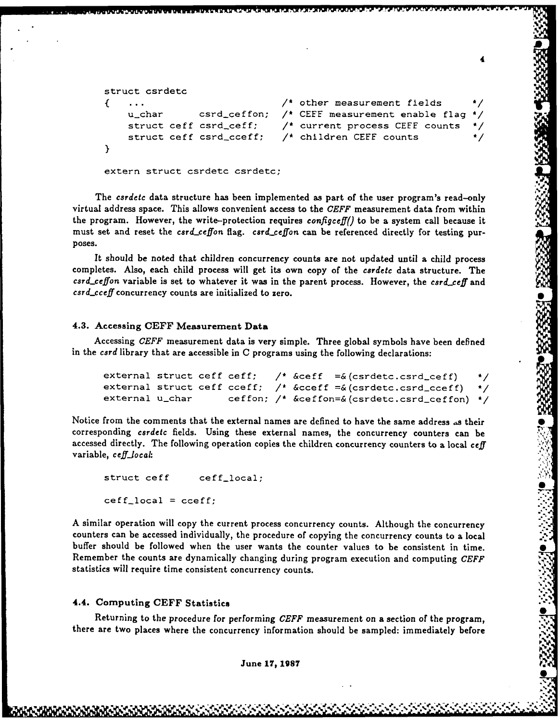```
struct csrdetc
                             /* other measurement fields
€
                                                           * /
   \ddotscu_char csrd_ceffon; /* CEFF measurement enable flag */
   struct ceff csrd-ceff; /* current process CEFF counts */
struct ceff csrd-cceff; /* children CEFF counts */ }
extern struct csrdetc csrdetc;
```
**4**

S,

The *csrdetc* data structure has been implemented as part of the user program's read-only virtual address space. This allows convenient access to the *CEFF* measurement data from within the program. However, the write-protection requires *configceff()* to be a system call because it must set and reset the *csrd-ceffon* flag. csrd-ceffon can be referenced directly for testing purposes.

It should be noted that children concurrency counts are not updated until a child process completes. Also, each child process will get its own copy of the *csrdetc* data structure. The *csrd\_ceffon* variable is set to whatever it was in the parent process. However, the *csrd\_ceff* and *csrd-cceff* concurrency counts are initialized to zero.

# 4.3. Accessing **CEFF** Measurement Data

Accessing *CEFF* measurement data is very simple. Three global symbols have been defined in the *csrd* library that are accessible in **C** programs using the following declarations:

```
external struct ceff ceff: /* &ceff =&(csrdetc.csrd-ceff) */
external struct ceff cceff; /* &cceff =&(csrdetc.csrd-cceff) */
external u_char ceffon: /* &ceffon=&(csrdetc.csrd_ceffon) */
```
Notice from the comments that the external names are defined to have the same address as their corresponding *csrdetc* fields. Using these external names, the concurrency counters can be accessed directly. The following operation copies the children concurrency counters to a local ceff variable, ceff\_local:

```
struct ceff ceff_local;
ceff\_local = cceff;
```
A similar operation will copy the current process concurrency counts. Although the concurrency counters can be accessed individually, the procedure of copying the concurrency counts to a local buffer should be followed when the user wants the counter values to be consistent in time. Remember the counts are dynamically changing during program execution and computing *CEFF* statistics will require time consistent concurrency counts.

## 4.4. Computing CEFF Statistics

Returning to the procedure for performing *CEFF* measurement on a section of the program, there are two places where the concurrency information should be sampled: immediately before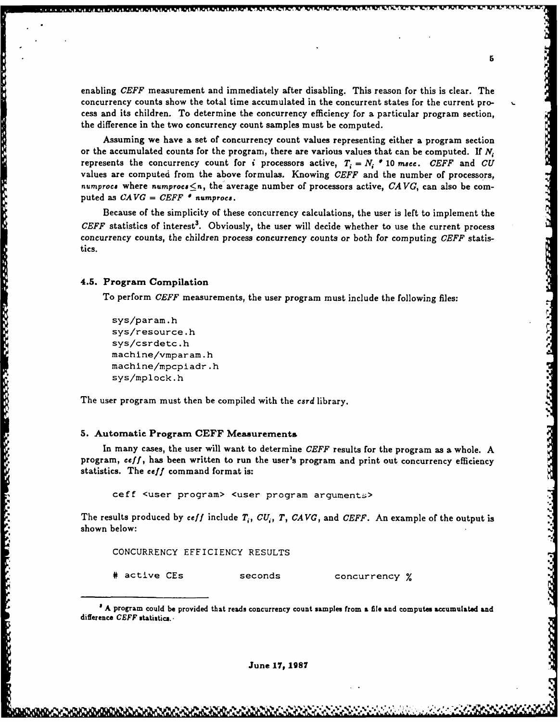enabling *CEFF* measurement and immediately after disabling. This reason for this is clear. The concurrency counts show the total time accumulated in the concurrent states for the current process and its children. To determine the concurrency efficiency for a particular program section, the difference in the two concurrency count samples must be computed.

Assuming we have a set of concurrency count values representing either a program section or the accumulated counts for the program, there are various values that can be computed. If *N* represents the concurrency count for *i* processors active,  $T_i = N_i$  \* 10 msee. *CEFF* and *CU* values are computed from the above formulas. Knowing *CEFF* and the number of processors, *numprocs* where *numprocs* $\leq$ n, the average number of processors active, *CAVG*, can also be computed as  $CAVG = CEFF$   $*$  *numprocs*.

Because of the simplicity of these concurrency calculations, the user is left to implement the CEFF statistics of interest<sup>3</sup>. Obviously, the user will decide whether to use the current process concurrency counts, the children process concurrency counts or both for computing *CEFF* statistics.

## 4.5. Program Compilation

● 「このことです」 「このことです」 「このことには、このことには、このことです。」 「このことです」 「このことです」 「このこと」 「このこと」 「このこと」 「このこと」 「このこのこと」 「

To perform *CEFF* measurements, the user program must include the following files:

```
sys/param. h
sys/resource.h
sys/csrdetc. h
machine/vmparam. h
machine/mpcpiadr .h
sys/mplock.h
```
The user program must then be compiled with the *csrd* library.

### **5.** Automatic Program CEFF Measurements

In many cases, the user will want to determine *CEFF* results for the program as a whole. A program, ceff, has been written to run the user's program and print out concurrency efficiency statistics. The *ceff* command format is:

ceff <user program> <user program argumentz>

The results produced **by ceff** include *T,, CU, T, CAVG,* and *CEFF.* An example of the output is shown below:

CONCURRENCY EFFICIENCY RESULTS

**#** active CEs seconds concurrency **%**

**A** program could be provided that reads concurrency count samples **from** a **file** and computes accumulated and difference *CEFF* statistics.

June **17, 1987**

6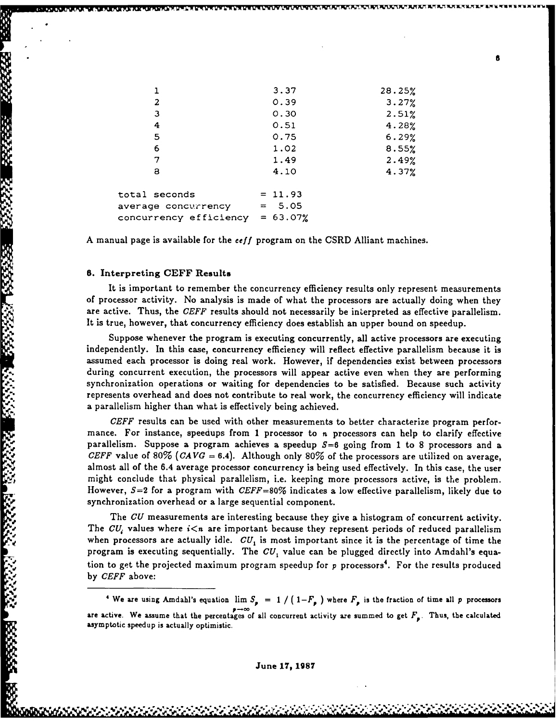|                                     | 3.37      | 28.25% |
|-------------------------------------|-----------|--------|
| 2                                   | 0.39      | 3.27%  |
| 3                                   | 0.30      | 2.51%  |
| 4                                   | 0.51      | 4.28%  |
| 5                                   | 0.75      | 6.29%  |
| 6                                   | 1.02      | 8.55%  |
| 7                                   | 1.49      | 2.49%  |
| 8                                   | 4.10      | 4.37%  |
| total seconds                       | $= 11.93$ |        |
| average concurrency                 | $= 5.05$  |        |
| $concurrency$ efficiency = $63.07%$ |           |        |
|                                     |           |        |

A manual page is available for the *ce/l* program on the CSRD Alliant machines.

### **6.** Interpreting **CEFF** Results

It is important to remember the concurrency efficiency results only represent measurements of processor activity. No analysis is made of what the processors are actually doing when they are active. Thus, the *CEFF* results should not necessarily be interpreted as effective parallelism. It is true, however, that concurrency efficiency does establish an upper bound on speedup.

Suppose whenever the program is executing concurrently, all active processors are executing independently. In this case, concurrency efficiency will reflect effective parallelism because it is assumed each processor is doing real work. However, if dependencies exist between processors during concurrent execution, the processors will appear active even when they are performing synchronization operations or waiting for dependencies to be satisfied. Because such activity represents overhead and does not contribute to real work, the concurrency efficiency will indicate a parallelism higher than what is effectively being achieved.

*CEFF* results can be used with other measurements to better characterize program performance. For instance, speedups from 1 processor to *n* processors can help to clarify effective parallelism. Suppose a program achieves a speedup **S=6** going from 1 to 8 processors and a *CEFF* value of 80% (*CAVG* = 6.4). Although only 80% of the processors are utilized on average, almost all of the 6.4 average processor concurrency is being used effectively. In this case, the user might conclude that physical parallelism, i.e. keeping more processors active, is the problem. However, *S=2* for a program with *CEFF=80%* indicates a low effective parallelism, likely due to synchronization overhead or a large sequential component.

The *CU* measurements are interesting because they give a histogram of concurrent activity. The  $CU_i$  values where  $i < n$  are important because they represent periods of reduced parallelism when processors are actually idle.  $CU_1$  is most important since it is the percentage of time the program is executing sequentially. The *CU,* value can be plugged directly into Amdahl's equa tion to get the projected maximum program speedup for p processors<sup>4</sup>. For the results produced by *CEFF* above:

p" , ., P **P** ""v-"..v **%,** .. . "-" , ,..v " .

We are using Amdahl's equation  $\lim S_p = 1 / (1 - F_p)$  where  $F_p$  is the fraction of time all p processors are active. We assume that the percentages of all concurrent activity are summed to get  $F_p$ . Thus, the calculated asymptotic speedup is actually optimistic.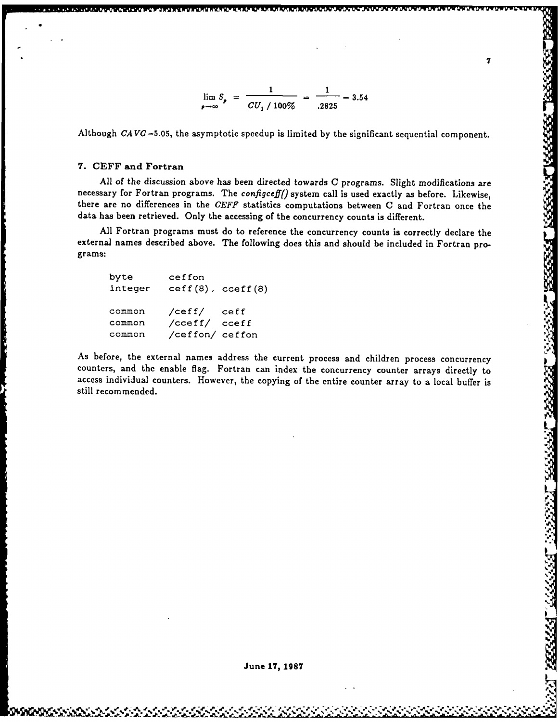**1 1**  $\lim S_p = \frac{1}{\pi} = \frac{1}{\pi} = 3.54$  $\rightarrow \infty$  *CU<sub>1</sub> /* 100% .2825

Although **CAVG=5.05,** the asymptotic speedup is limited **by** the significant sequential component.

# **7.** CEFF **and Fortran**

All of the discussion above has been directed towards **C** programs. Slight modifications are necessary for Fortran programs. The *configceff()* system call is used exactly as before. Likewise, there are no differences in the *CEFF* statistics computations between C and Fortran once the data has been retrieved. Only the accessing of the concurrency counts is different.

**All** Fortran programs must do to reference the concurrency counts is correctly declare the external names described above. The following does this and should be included in Fortran programs:

```
byte ceffon
integer ceff(8) , cceff(8)
common /ceff/ ceff
common /cceff/ cceff
common /ceffon/ ceffon
```
As before, the external names address the current process and children process concurrency counters, and the enable flag. Fortran can index the concurrency counter arrays directly to access individual counters. However, the copying of the entire counter array to a local buffer is still recommended.

**...................** ~.\*---~ ~ **~** *~Pd'V* **.** .a~f:.d.r..J.v

**June 17, 1987**

123333

133332713333

233333 333333